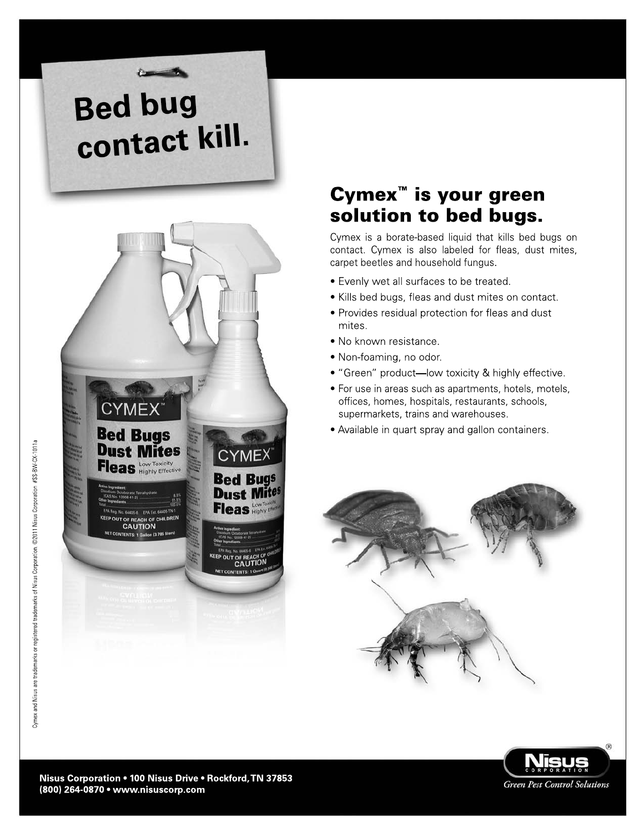# **Bed bug** contact kill.



## Cymex<sup>™</sup> is your green solution to bed bugs.

Cymex is a borate-based liquid that kills bed bugs on contact. Cymex is also labeled for fleas, dust mites, carpet beetles and household fungus.

- Evenly wet all surfaces to be treated.
- Kills bed bugs, fleas and dust mites on contact.
- Provides residual protection for fleas and dust mites.
- · No known resistance.
- Non-foaming, no odor.
- "Green" product-low toxicity & highly effective.
- For use in areas such as apartments, hotels, motels, offices, homes, hospitals, restaurants, schools, supermarkets, trains and warehouses.
- Available in quart spray and gallon containers.



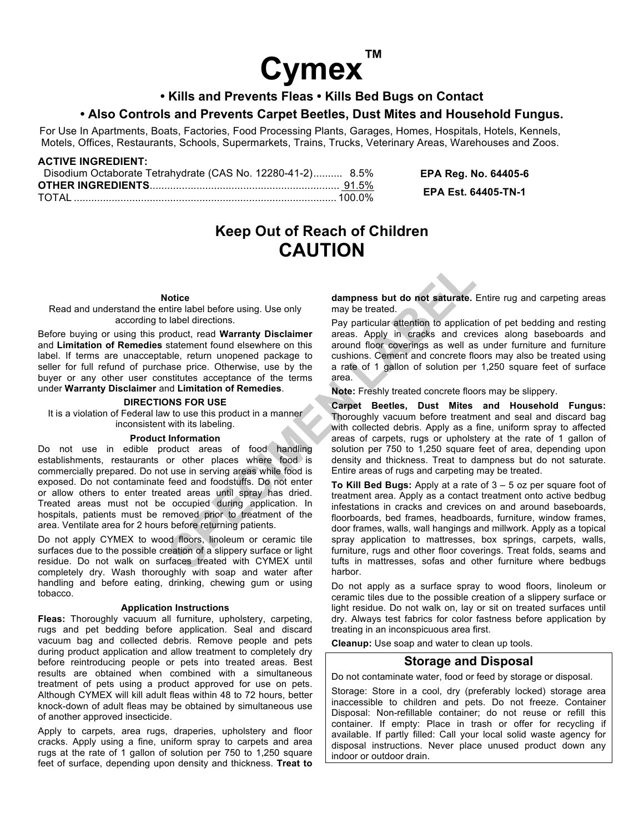

#### **• Kills and Prevents Fleas • Kills Bed Bugs on Contact**

#### **• Also Controls and Prevents Carpet Beetles, Dust Mites and Household Fungus.**

For Use In Apartments, Boats, Factories, Food Processing Plants, Garages, Homes, Hospitals, Hotels, Kennels, Motels, Offices, Restaurants, Schools, Supermarkets, Trains, Trucks, Veterinary Areas, Warehouses and Zoos.

| <b>ACTIVE INGREDIENT:</b>                                  |                             |
|------------------------------------------------------------|-----------------------------|
| Disodium Octaborate Tetrahydrate (CAS No. 12280-41-2) 8.5% | <b>EPA Reg. No. 64405-6</b> |
|                                                            | EPA Est. 64405-TN-1         |
|                                                            |                             |

## **Keep Out of Reach of Children CAUTION**

#### **Notice**

Read and understand the entire label before using. Use only according to label directions.

Before buying or using this product, read **Warranty Disclaimer** and **Limitation of Remedies** statement found elsewhere on this label. If terms are unacceptable, return unopened package to seller for full refund of purchase price. Otherwise, use by the buyer or any other user constitutes acceptance of the terms under **Warranty Disclaimer** and **Limitation of Remedies**.

#### **DIRECTIONS FOR USE**

It is a violation of Federal law to use this product in a manner inconsistent with its labeling.

#### **Product Information**

Do not use in edible product areas of food handling establishments, restaurants or other places where food is commercially prepared. Do not use in serving areas while food is exposed. Do not contaminate feed and foodstuffs. Do not enter or allow others to enter treated areas until spray has dried. Treated areas must not be occupied during application. In hospitals, patients must be removed prior to treatment of the area. Ventilate area for 2 hours before returning patients.

Do not apply CYMEX to wood floors, linoleum or ceramic tile surfaces due to the possible creation of a slippery surface or light residue. Do not walk on surfaces treated with CYMEX until completely dry. Wash thoroughly with soap and water after handling and before eating, drinking, chewing gum or using tobacco.

#### **Application Instructions**

**Fleas:** Thoroughly vacuum all furniture, upholstery, carpeting, rugs and pet bedding before application. Seal and discard vacuum bag and collected debris. Remove people and pets during product application and allow treatment to completely dry before reintroducing people or pets into treated areas. Best results are obtained when combined with a simultaneous treatment of pets using a product approved for use on pets. Although CYMEX will kill adult fleas within 48 to 72 hours, better knock-down of adult fleas may be obtained by simultaneous use of another approved insecticide.

Apply to carpets, area rugs, draperies, upholstery and floor cracks. Apply using a fine, uniform spray to carpets and area rugs at the rate of 1 gallon of solution per 750 to 1,250 square feet of surface, depending upon density and thickness. **Treat to**

**dampness but do not saturate.** Entire rug and carpeting areas may be treated.

Pay particular attention to application of pet bedding and resting areas. Apply in cracks and crevices along baseboards and around floor coverings as well as under furniture and furniture cushions. Cement and concrete floors may also be treated using a rate of 1 gallon of solution per 1,250 square feet of surface area.

**Note:** Freshly treated concrete floors may be slippery.

**Carpet Beetles, Dust Mites and Household Fungus:** Thoroughly vacuum before treatment and seal and discard bag with collected debris. Apply as a fine, uniform spray to affected areas of carpets, rugs or upholstery at the rate of 1 gallon of solution per 750 to 1,250 square feet of area, depending upon density and thickness. Treat to dampness but do not saturate. Entire areas of rugs and carpeting may be treated.

**To Kill Bed Bugs:** Apply at a rate of 3 – 5 oz per square foot of treatment area. Apply as a contact treatment onto active bedbug infestations in cracks and crevices on and around baseboards, floorboards, bed frames, headboards, furniture, window frames, door frames, walls, wall hangings and millwork. Apply as a topical spray application to mattresses, box springs, carpets, walls, furniture, rugs and other floor coverings. Treat folds, seams and tufts in mattresses, sofas and other furniture where bedbugs harbor.

Do not apply as a surface spray to wood floors, linoleum or ceramic tiles due to the possible creation of a slippery surface or light residue. Do not walk on, lay or sit on treated surfaces until dry. Always test fabrics for color fastness before application by treating in an inconspicuous area first.

**Cleanup:** Use soap and water to clean up tools.

#### **Storage and Disposal**

Do not contaminate water, food or feed by storage or disposal.

Storage: Store in a cool, dry (preferably locked) storage area inaccessible to children and pets. Do not freeze. Container Disposal: Non-refillable container; do not reuse or refill this container. If empty: Place in trash or offer for recycling if available. If partly filled: Call your local solid waste agency for disposal instructions. Never place unused product down any indoor or outdoor drain.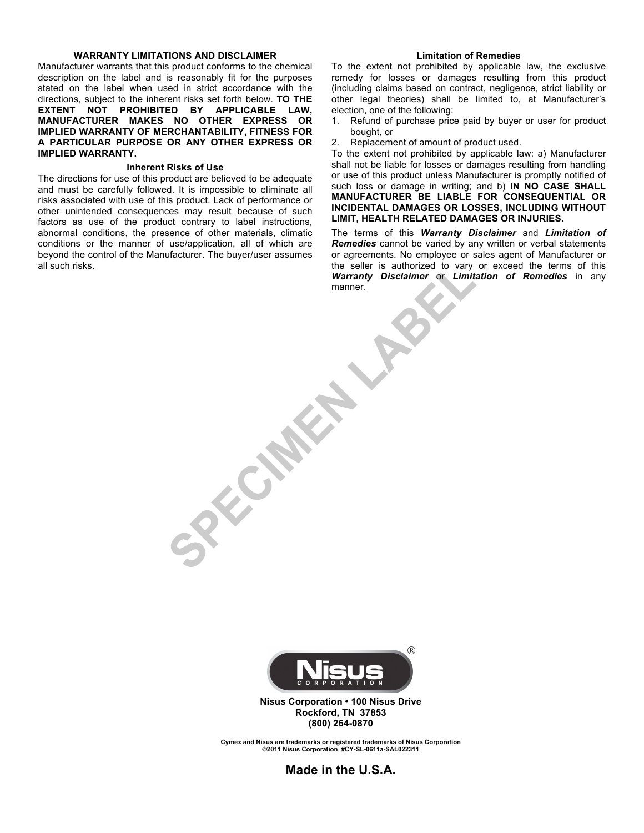#### **WARRANTY LIMITATIONS AND DISCLAIMER**

Manufacturer warrants that this product conforms to the chemical description on the label and is reasonably fit for the purposes stated on the label when used in strict accordance with the directions, subject to the inherent risks set forth below. **TO THE EXTENT NOT PROHIBITED BY APPLICABLE LAW, MANUFACTURER MAKES NO OTHER EXPRESS OR IMPLIED WARRANTY OF MERCHANTABILITY, FITNESS FOR A PARTICULAR PURPOSE OR ANY OTHER EXPRESS OR IMPLIED WARRANTY.**

#### **Inherent Risks of Use**

The directions for use of this product are believed to be adequate and must be carefully followed. It is impossible to eliminate all risks associated with use of this product. Lack of performance or other unintended consequences may result because of such factors as use of the product contrary to label instructions, abnormal conditions, the presence of other materials, climatic conditions or the manner of use/application, all of which are beyond the control of the Manufacturer. The buyer/user assumes all such risks.

#### **Limitation of Remedies**

To the extent not prohibited by applicable law, the exclusive remedy for losses or damages resulting from this product (including claims based on contract, negligence, strict liability or other legal theories) shall be limited to, at Manufacturer's election, one of the following:

- 1. Refund of purchase price paid by buyer or user for product bought, or
- 2. Replacement of amount of product used.

To the extent not prohibited by applicable law: a) Manufacturer shall not be liable for losses or damages resulting from handling or use of this product unless Manufacturer is promptly notified of such loss or damage in writing; and b) **IN NO CASE SHALL MANUFACTURER BE LIABLE FOR CONSEQUENTIAL OR INCIDENTAL DAMAGES OR LOSSES, INCLUDING WITHOUT LIMIT, HEALTH RELATED DAMAGES OR INJURIES.**

The terms of this *Warranty Disclaimer* and *Limitation of Remedies* cannot be varied by any written or verbal statements or agreements. No employee or sales agent of Manufacturer or the seller is authorized to vary or exceed the terms of this *Warranty Disclaimer* or *Limitation of Remedies* in any manner.



 $(\widehat{R})$ 

**SPICERS** 

**Nisus Corporation • 100 Nisus Drive Rockford, TN 37853 (800) 264-0870**

**Cymex and Nisus are trademarks or registered trademarks of Nisus Corporation ©2011 Nisus Corporation #CY-SL-0611a-SAL022311**

**Made in the U.S.A.**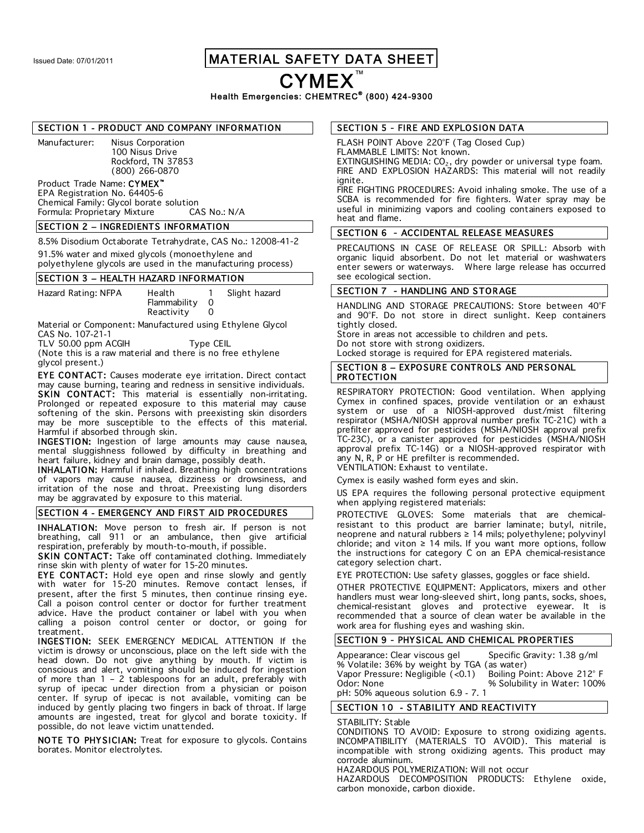### Issued Date: 07/01/2011 | MATERIAL SAFETY DATA SHEET

CYMEX

Health Emergencies: CHEMTREC<sup>®</sup> (800) 424-9300

#### SECTION 1 - PRODUCT AND COMPANY INFORMATION

Manufacturer: Nisus Corporation 100 Nisus Drive Rockford, TN 37853 (800) 266-0870

#### Product Trade Name: CYMEX EPA Registration No. 64405-6

Chemical Family: Glycol borate solution<br>Formula: Proprietary Mixture CAS No.: N/A Formula: Proprietary Mixture

#### SECTION 2 – INGREDIENTS INFORMATION

8.5% Disodium Octaborate Tetrahydrate, CAS No.: 12008-41-2 91.5% water and mixed glycols (monoethylene and

polyethylene glycols are used in the manufacturing process)

#### SECTION 3 – HEALTH HAZARD INFORMATION

Hazard Rating: NFPA Health 1 Slight hazard Flammability 0 Reactivity 0

Material or Component: Manufactured using Ethylene Glycol

CAS No. 107-21-1

TLV 50.00 ppm ACGIH Type CEIL (Note this is a raw material and there is no free ethylene

glycol present.)

EYE CONTACT: Causes moderate eye irritation. Direct contact may cause burning, tearing and redness in sensitive individuals. **SKIN CONTACT:** This material is essentially non-irritating. Prolonged or repeated exposure to this material may cause softening of the skin. Persons with preexisting skin disorders may be more susceptible to the effects of this material. Harmful if absorbed through skin.

INGESTION: Ingestion of large amounts may cause nausea, mental sluggishness followed by difficulty in breathing and heart failure, kidney and brain damage, possibly death.

INHALATION: Harmful if inhaled. Breathing high concentrations of vapors may cause nausea, dizziness or drowsiness, and irritation of the nose and throat. Preexisting lung disorders may be aggravated by exposure to this material.

#### SECTION 4 - EMERGENCY AND FIRST AID PROCEDURES

INHALATION: Move person to fresh air. If person is not breathing, call 911 or an ambulance, then give artificial respiration, preferably by mouth-to-mouth, if possible.

SKIN CONTACT: Take off contaminated clothing. Immediately rinse skin with plenty of water for 15-20 minutes.

EYE CONTACT: Hold eye open and rinse slowly and gently with water for 15-20 minutes. Remove contact lenses, if present, after the first 5 minutes, then continue rinsing eye. Call a poison control center or doctor for further treatment advice. Have the product container or label with you when calling a poison control center or doctor, or going for treatment.

INGESTION: SEEK EMERGENCY MEDICAL ATTENTION If the victim is drowsy or unconscious, place on the left side with the head down. Do not give anything by mouth. If victim is conscious and alert, vomiting should be induced for ingestion of more than 1 – 2 tablespoons for an adult, preferably with syrup of ipecac under direction from a physician or poison center. If syrup of ipecac is not available, vomiting can be induced by gently placing two fingers in back of throat. If large amounts are ingested, treat for glycol and borate toxicity. If possible, do not leave victim unattended.

NOTE TO PHYSICIAN: Treat for exposure to glycols. Contains borates. Monitor electrolytes.

#### SECTION 5 - FIRE AND EXPLOSION DATA

FLASH POINT Above 220°F (Tag Closed Cup) FLAMMABLE LIMITS: Not known. EXTINGUISHING MEDIA: CO<sub>2</sub>, dry powder or universal type foam. FIRE AND EXPLOSION HAZARDS: This material will not readily

ianite. FIRE FIGHTING PROCEDURES: Avoid inhaling smoke. The use of a SCBA is recommended for fire fighters. Water spray may be useful in minimizing vapors and cooling containers exposed to heat and flame.

#### SECTION 6 - ACCIDENTAL RELEASE MEASURES

PRECAUTIONS IN CASE OF RELEASE OR SPILL: Absorb with organic liquid absorbent. Do not let material or washwaters enter sewers or waterways. Where large release has occurred see ecological section.

#### SECTION 7 - HANDLING AND STORAGE

HANDLING AND STORAGE PRECAUTIONS: Store between 40°F and 90°F. Do not store in direct sunlight. Keep containers tightly closed.

Store in areas not accessible to children and pets. Do not store with strong oxidizers.

Locked storage is required for EPA registered materials.

#### SECTION 8 – EXPOSURE CONTROLS AND PERSONAL PROTECTION

RESPIRATORY PROTECTION: Good ventilation. When applying Cymex in confined spaces, provide ventilation or an exhaust system or use of a NIOSH-approved dust/mist filtering respirator (MSHA/NIOSH approval number prefix TC-21C) with a prefilter approved for pesticides (MSHA/NIOSH approval prefix TC-23C), or a canister approved for pesticides (MSHA/NIOSH approval prefix TC-14G) or a NIOSH-approved respirator with any N, R, P or HE prefilter is recommended. VENTILATION: Exhaust to ventilate.

Cymex is easily washed form eyes and skin.

US EPA requires the following personal protective equipment when applying registered materials:

PROTECTIVE GLOVES: Some materials that are chemicalresistant to this product are barrier laminate; butyl, nitrile, neoprene and natural rubbers ≥ 14 mils; polyethylene; polyvinyl chloride; and viton  $\geq$  14 mils. If you want more options, follow the instructions for category C on an EPA chemical-resistance category selection chart.

EYE PROTECTION: Use safety glasses, goggles or face shield.

OTHER PROTECTIVE EQUIPMENT: Applicators, mixers and other handlers must wear long-sleeved shirt, long pants, socks, shoes, chemical-resistant gloves and protective eyewear. It is recommended that a source of clean water be available in the work area for flushing eyes and washing skin.

#### SECTION 9 - PHYSICAL AND CHEMICAL PROPERTIES

Appearance: Clear viscous gel Specific Gravity: 1.38 g/ml % Volatile: 36% by weight by TGA (as water) Vapor Pressure: Negligible (<0.1) Boiling Point: Above 212° F % Solubility in Water: 100% pH: 50% aqueous solution 6.9 - 7. 1

#### SECTION 10 - STABILITY AND REACTIVITY

#### STABILITY: Stable

CONDITIONS TO AVOID: Exposure to strong oxidizing agents. INCOMPATIBILITY (MATERIALS TO AVOID). This material is incompatible with strong oxidizing agents. This product may corrode aluminum.

HAZARDOUS POLYMERIZATION: Will not occur

HAZARDOUS DECOMPOSITION PRODUCTS: Ethylene oxide, carbon monoxide, carbon dioxide.